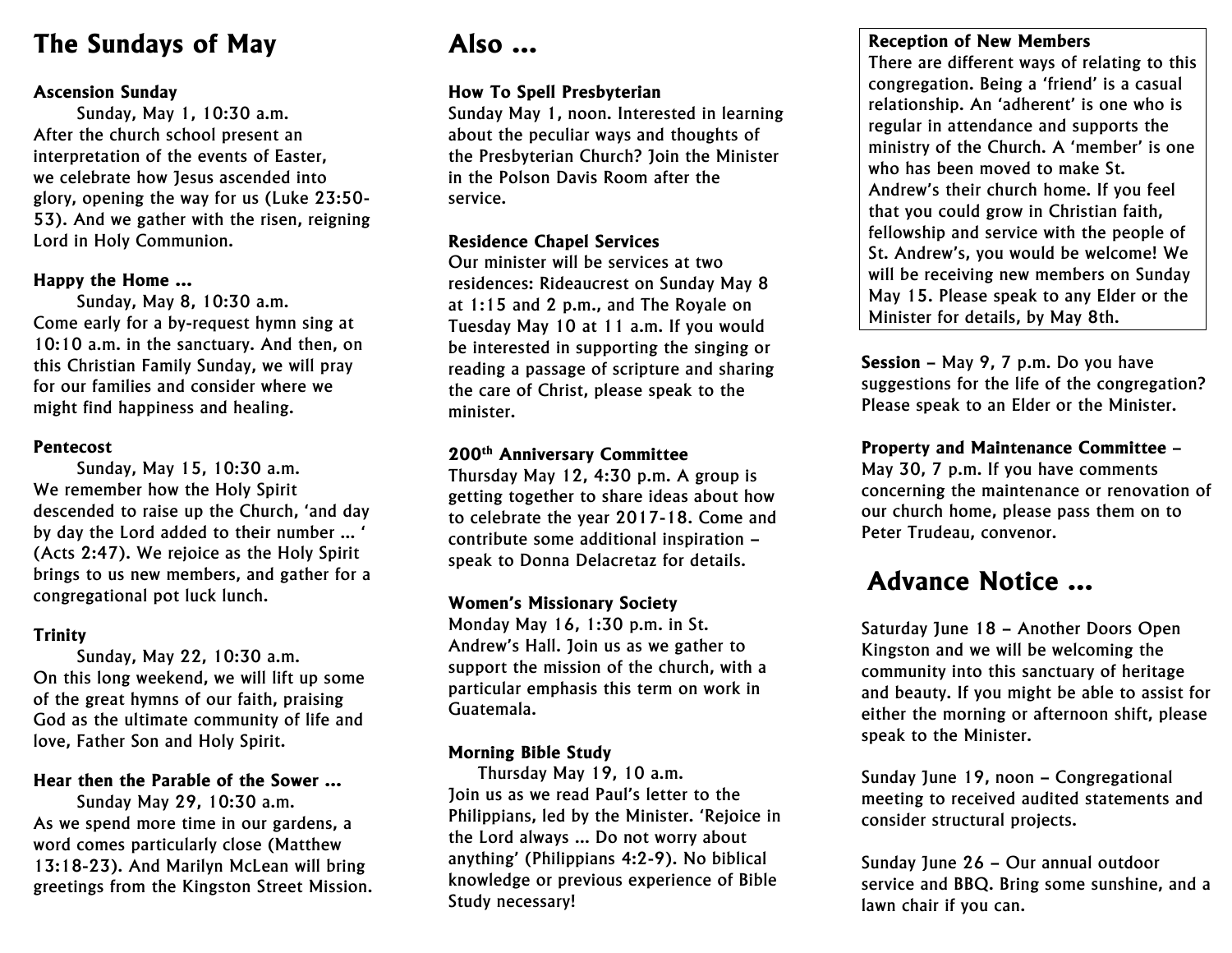## **The Sundays of May**

#### **Ascension Sunday**

Sunday, May 1, 10:30 a.m. After the church school present an interpretation of the events of Easter, we celebrate how Jesus ascended into glory, opening the way for us (Luke 23:50- 53). And we gather with the risen, reigning Lord in Holy Communion.

#### **Happy the Home …**

Sunday, May 8, 10:30 a.m. Come early for a by-request hymn sing at 10:10 a.m. in the sanctuary. And then, on this Christian Family Sunday, we will pray for our families and consider where we might find happiness and healing.

#### **Pentecost**

Sunday, May 15, 10:30 a.m. We remember how the Holy Spirit descended to raise up the Church, 'and day by day the Lord added to their number … ' (Acts 2:47). We rejoice as the Holy Spirit brings to us new members, and gather for a congregational pot luck lunch.

#### **Trinity**

Sunday, May 22, 10:30 a.m. On this long weekend, we will lift up some of the great hymns of our faith, praising God as the ultimate community of life and love, Father Son and Holy Spirit.

### **Hear then the Parable of the Sower …**

Sunday May 29, 10:30 a.m. As we spend more time in our gardens, a word comes particularly close (Matthew 13:18-23). And Marilyn McLean will bring greetings from the Kingston Street Mission.

## **Also …**

#### **How To Spell Presbyterian**

Sunday May 1, noon. Interested in learning about the peculiar ways and thoughts of the Presbyterian Church? Join the Minister in the Polson Davis Room after the service.

#### **Residence Chapel Services**

Our minister will be services at two residences: Rideaucrest on Sunday May 8 at 1:15 and 2 p.m., and The Royale on Tuesday May 10 at 11 a.m. If you would be interested in supporting the singing or reading a passage of scripture and sharing the care of Christ, please speak to the minister.

#### **200th Anniversary Committee**

Thursday May 12, 4:30 p.m. A group is getting together to share ideas about how to celebrate the year 2017-18. Come and contribute some additional inspiration – speak to Donna Delacretaz for details.

#### **Women's Missionary Society**

Monday May 16, 1:30 p.m. in St. Andrew's Hall. Join us as we gather to support the mission of the church, with a particular emphasis this term on work in Guatemala.

#### **Morning Bible Study**

Thursday May 19, 10 a.m. Join us as we read Paul's letter to the Philippians, led by the Minister. 'Rejoice in the Lord always … Do not worry about anything' (Philippians 4:2-9). No biblical knowledge or previous experience of Bible Study necessary!

#### **Reception of New Members**

There are different ways of relating to this congregation. Being a 'friend' is a casual relationship. An 'adherent' is one who is regular in attendance and supports the ministry of the Church. A 'member' is one who has been moved to make St. Andrew's their church home. If you feel that you could grow in Christian faith, fellowship and service with the people of St. Andrew's, you would be welcome! We will be receiving new members on Sunday May 15. Please speak to any Elder or the Minister for details, by May 8th.

**Session** – May 9, 7 p.m. Do you have suggestions for the life of the congregation? Please speak to an Elder or the Minister.

**Property and Maintenance Committee** – May 30, 7 p.m. If you have comments concerning the maintenance or renovation of

our church home, please pass them on to Peter Trudeau, convenor.

## **Advance Notice …**

Saturday June 18 – Another Doors Open Kingston and we will be welcoming the community into this sanctuary of heritage and beauty. If you might be able to assist for either the morning or afternoon shift, please speak to the Minister.

Sunday June 19, noon – Congregational meeting to received audited statements and consider structural projects.

Sunday June 26 – Our annual outdoor service and BBQ. Bring some sunshine, and a lawn chair if you can.